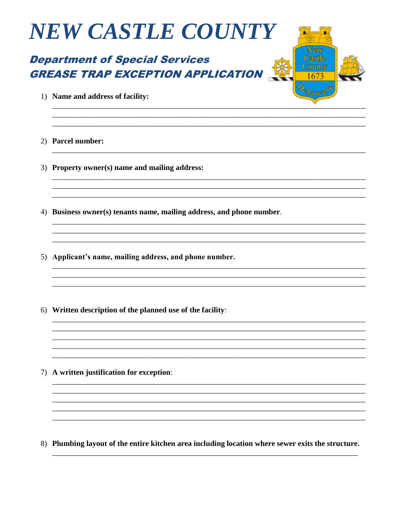

#### **Department of Special Services GREASE TRAP EXCEPTION APPLICATION**



- 1) Name and address of facility:
- 2) Parcel number:
- 3) Property owner(s) name and mailing address:
- 4) Business owner(s) tenants name, mailing address, and phone number.
- 5) Applicant's name, mailing address, and phone number.
- 6) Written description of the planned use of the facility:

7) A written justification for exception:

8) Plumbing layout of the entire kitchen area including location where sewer exits the structure.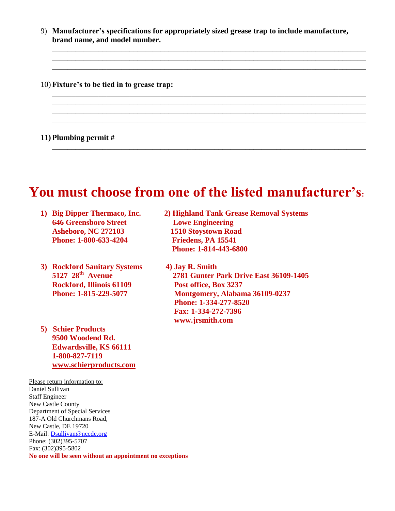9) **Manufacturer's specifications for appropriately sized grease trap to include manufacture, brand name, and model number.** 

\_\_\_\_\_\_\_\_\_\_\_\_\_\_\_\_\_\_\_\_\_\_\_\_\_\_\_\_\_\_\_\_\_\_\_\_\_\_\_\_\_\_\_\_\_\_\_\_\_\_\_\_\_\_\_\_\_\_\_\_\_\_\_\_\_\_\_\_\_\_\_\_\_\_\_\_\_\_\_\_\_ \_\_\_\_\_\_\_\_\_\_\_\_\_\_\_\_\_\_\_\_\_\_\_\_\_\_\_\_\_\_\_\_\_\_\_\_\_\_\_\_\_\_\_\_\_\_\_\_\_\_\_\_\_\_\_\_\_\_\_\_\_\_\_\_\_\_\_\_\_\_\_\_\_\_\_\_\_\_\_\_\_ \_\_\_\_\_\_\_\_\_\_\_\_\_\_\_\_\_\_\_\_\_\_\_\_\_\_\_\_\_\_\_\_\_\_\_\_\_\_\_\_\_\_\_\_\_\_\_\_\_\_\_\_\_\_\_\_\_\_\_\_\_\_\_\_\_\_\_\_\_\_\_\_\_\_\_\_\_\_\_\_\_

\_\_\_\_\_\_\_\_\_\_\_\_\_\_\_\_\_\_\_\_\_\_\_\_\_\_\_\_\_\_\_\_\_\_\_\_\_\_\_\_\_\_\_\_\_\_\_\_\_\_\_\_\_\_\_\_\_\_\_\_\_\_\_\_\_\_\_\_\_\_\_\_\_\_\_\_\_\_\_\_\_ \_\_\_\_\_\_\_\_\_\_\_\_\_\_\_\_\_\_\_\_\_\_\_\_\_\_\_\_\_\_\_\_\_\_\_\_\_\_\_\_\_\_\_\_\_\_\_\_\_\_\_\_\_\_\_\_\_\_\_\_\_\_\_\_\_\_\_\_\_\_\_\_\_\_\_\_\_\_\_\_\_ \_\_\_\_\_\_\_\_\_\_\_\_\_\_\_\_\_\_\_\_\_\_\_\_\_\_\_\_\_\_\_\_\_\_\_\_\_\_\_\_\_\_\_\_\_\_\_\_\_\_\_\_\_\_\_\_\_\_\_\_\_\_\_\_\_\_\_\_\_\_\_\_\_\_\_\_\_\_\_\_\_ \_\_\_\_\_\_\_\_\_\_\_\_\_\_\_\_\_\_\_\_\_\_\_\_\_\_\_\_\_\_\_\_\_\_\_\_\_\_\_\_\_\_\_\_\_\_\_\_\_\_\_\_\_\_\_\_\_\_\_\_\_\_\_\_\_\_\_\_\_\_\_\_\_\_\_\_\_\_\_\_\_

**\_\_\_\_\_\_\_\_\_\_\_\_\_\_\_\_\_\_\_\_\_\_\_\_\_\_\_\_\_\_\_\_\_\_\_\_\_\_\_\_\_\_\_\_\_\_\_\_\_\_\_\_\_\_\_\_\_\_\_\_\_\_\_\_\_\_\_\_\_\_\_\_\_\_\_\_\_\_\_\_\_**

10) **Fixture's to be tied in to grease trap:**

#### **11) Plumbing permit #**

### **You must choose from one of the listed manufacturer's:**

- **646 Greensboro Street Lowe Engineering Asheboro, NC 272103 1510 Stoystown Road Phone: 1-800-633-4204 Friedens, PA 15541**
- **3) Rockford Sanitary Systems 4) Jay R. Smith 5127 28th Rockford, Illinois 61109 Post office, Box 3237**
- **5) Schier Products 9500 Woodend Rd. Edwardsville, KS 66111 1-800-827-7119 [www.schierproducts.com](http://www.schierproducts.com/)**

Please return information to: Daniel Sullivan Staff Engineer New Castle County Department of Special Services 187-A Old Churchmans Road, New Castle, DE 19720 E-Mail: [Dsullivan@nccde.org](mailto:Dsullivan@nccde.org) Phone: (302)395-5707 Fax: (302)395-5802 **No one will be seen without an appointment no exceptions** 

- **1) Big Dipper Thermaco, Inc. 2) Highland Tank Grease Removal Systems Phone: 1-814-443-6800**
	- **Avenue 2781 Gunter Park Drive East 36109-1405 Phone: 1-815-229-5077 Montgomery, Alabama 36109-0237 Phone: 1-334-277-8520 Fax: 1-334-272-7396 www.jrsmith.com**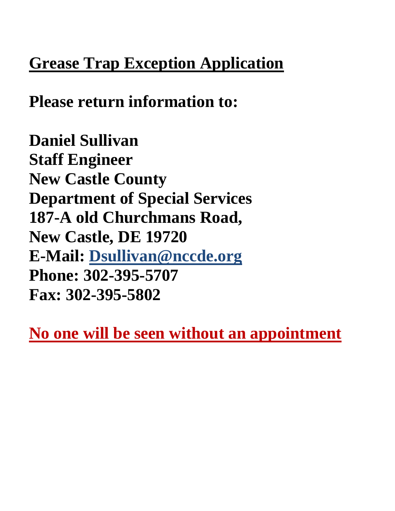## **Grease Trap Exception Application**

**Please return information to:**

**Daniel Sullivan Staff Engineer New Castle County Department of Special Services 187-A old Churchmans Road, New Castle, DE 19720 E-Mail: [Dsullivan@nccde.org](mailto:dsullivan@co.new-castle.de.us) Phone: 302-395-5707 Fax: 302-395-5802**

**No one will be seen without an appointment**